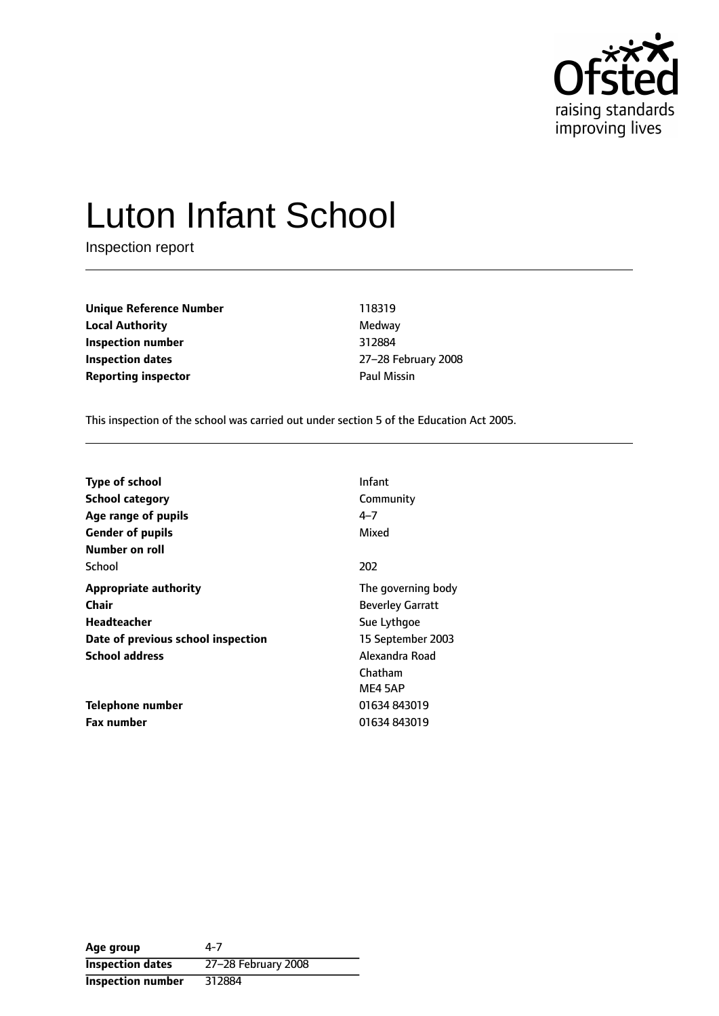

# Luton Infant School

Inspection report

**Unique Reference Number** 118319 **Local Authority** Medway **Inspection number** 312884 **Inspection dates** 27-28 February 2008 **Reporting inspector Contracts Paul Missin** 

This inspection of the school was carried out under section 5 of the Education Act 2005.

| <b>Type of school</b>              | Infant                  |
|------------------------------------|-------------------------|
| <b>School category</b>             | Community               |
| Age range of pupils                | 4–7                     |
| <b>Gender of pupils</b>            | Mixed                   |
| Number on roll                     |                         |
| School                             | 202                     |
| <b>Appropriate authority</b>       | The governing body      |
| Chair                              | <b>Beverley Garratt</b> |
| Headteacher                        | Sue Lythgoe             |
| Date of previous school inspection | 15 September 2003       |
| <b>School address</b>              | Alexandra Road          |
|                                    | Chatham                 |
|                                    | ME4 5AP                 |
| Telephone number                   | 01634843019             |
| <b>Fax number</b>                  | 01634843019             |

**Age group** 4-7 **Inspection dates** 27-28 February 2008 **Inspection number** 312884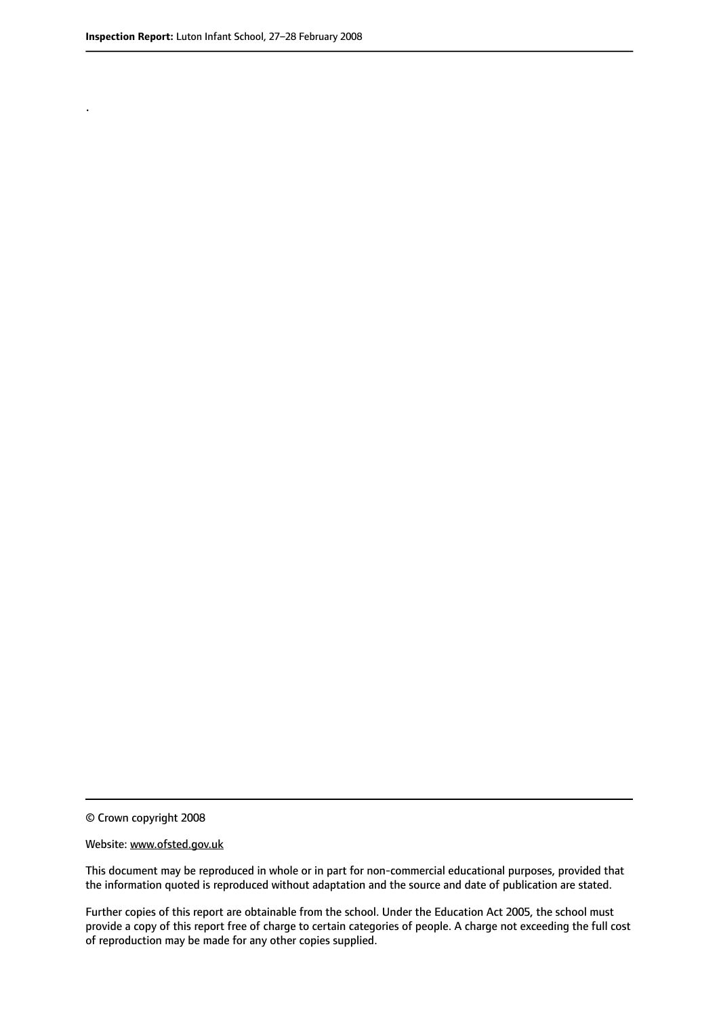.

© Crown copyright 2008

#### Website: www.ofsted.gov.uk

This document may be reproduced in whole or in part for non-commercial educational purposes, provided that the information quoted is reproduced without adaptation and the source and date of publication are stated.

Further copies of this report are obtainable from the school. Under the Education Act 2005, the school must provide a copy of this report free of charge to certain categories of people. A charge not exceeding the full cost of reproduction may be made for any other copies supplied.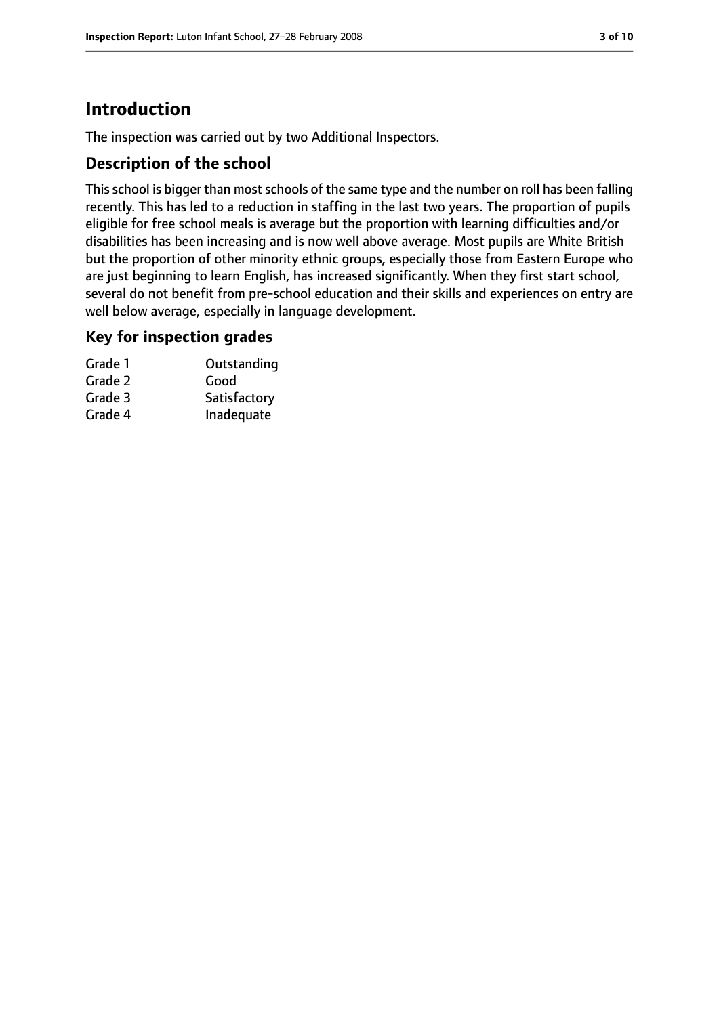# **Introduction**

The inspection was carried out by two Additional Inspectors.

## **Description of the school**

This school is bigger than most schools of the same type and the number on roll has been falling recently. This has led to a reduction in staffing in the last two years. The proportion of pupils eligible for free school meals is average but the proportion with learning difficulties and/or disabilities has been increasing and is now well above average. Most pupils are White British but the proportion of other minority ethnic groups, especially those from Eastern Europe who are just beginning to learn English, has increased significantly. When they first start school, several do not benefit from pre-school education and their skills and experiences on entry are well below average, especially in language development.

#### **Key for inspection grades**

| Grade 1 | Outstanding  |
|---------|--------------|
| Grade 2 | Good         |
| Grade 3 | Satisfactory |
| Grade 4 | Inadequate   |
|         |              |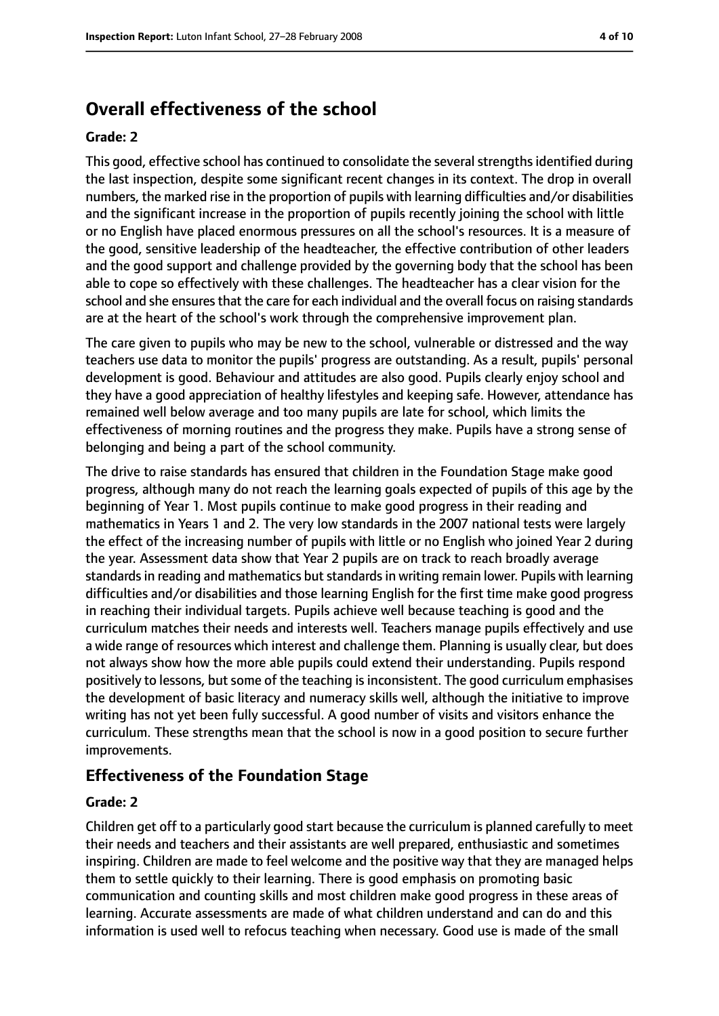# **Overall effectiveness of the school**

#### **Grade: 2**

This good, effective school has continued to consolidate the several strengths identified during the last inspection, despite some significant recent changes in its context. The drop in overall numbers, the marked rise in the proportion of pupils with learning difficulties and/or disabilities and the significant increase in the proportion of pupils recently joining the school with little or no English have placed enormous pressures on all the school's resources. It is a measure of the good, sensitive leadership of the headteacher, the effective contribution of other leaders and the good support and challenge provided by the governing body that the school has been able to cope so effectively with these challenges. The headteacher has a clear vision for the school and she ensures that the care for each individual and the overall focus on raising standards are at the heart of the school's work through the comprehensive improvement plan.

The care given to pupils who may be new to the school, vulnerable or distressed and the way teachers use data to monitor the pupils' progress are outstanding. As a result, pupils' personal development is good. Behaviour and attitudes are also good. Pupils clearly enjoy school and they have a good appreciation of healthy lifestyles and keeping safe. However, attendance has remained well below average and too many pupils are late for school, which limits the effectiveness of morning routines and the progress they make. Pupils have a strong sense of belonging and being a part of the school community.

The drive to raise standards has ensured that children in the Foundation Stage make good progress, although many do not reach the learning goals expected of pupils of this age by the beginning of Year 1. Most pupils continue to make good progress in their reading and mathematics in Years 1 and 2. The very low standards in the 2007 national tests were largely the effect of the increasing number of pupils with little or no English who joined Year 2 during the year. Assessment data show that Year 2 pupils are on track to reach broadly average standards in reading and mathematics but standards in writing remain lower. Pupils with learning difficulties and/or disabilities and those learning English for the first time make good progress in reaching their individual targets. Pupils achieve well because teaching is good and the curriculum matches their needs and interests well. Teachers manage pupils effectively and use a wide range of resources which interest and challenge them. Planning is usually clear, but does not always show how the more able pupils could extend their understanding. Pupils respond positively to lessons, but some of the teaching is inconsistent. The good curriculum emphasises the development of basic literacy and numeracy skills well, although the initiative to improve writing has not yet been fully successful. A good number of visits and visitors enhance the curriculum. These strengths mean that the school is now in a good position to secure further improvements.

#### **Effectiveness of the Foundation Stage**

#### **Grade: 2**

Children get off to a particularly good start because the curriculum is planned carefully to meet their needs and teachers and their assistants are well prepared, enthusiastic and sometimes inspiring. Children are made to feel welcome and the positive way that they are managed helps them to settle quickly to their learning. There is good emphasis on promoting basic communication and counting skills and most children make good progress in these areas of learning. Accurate assessments are made of what children understand and can do and this information is used well to refocus teaching when necessary. Good use is made of the small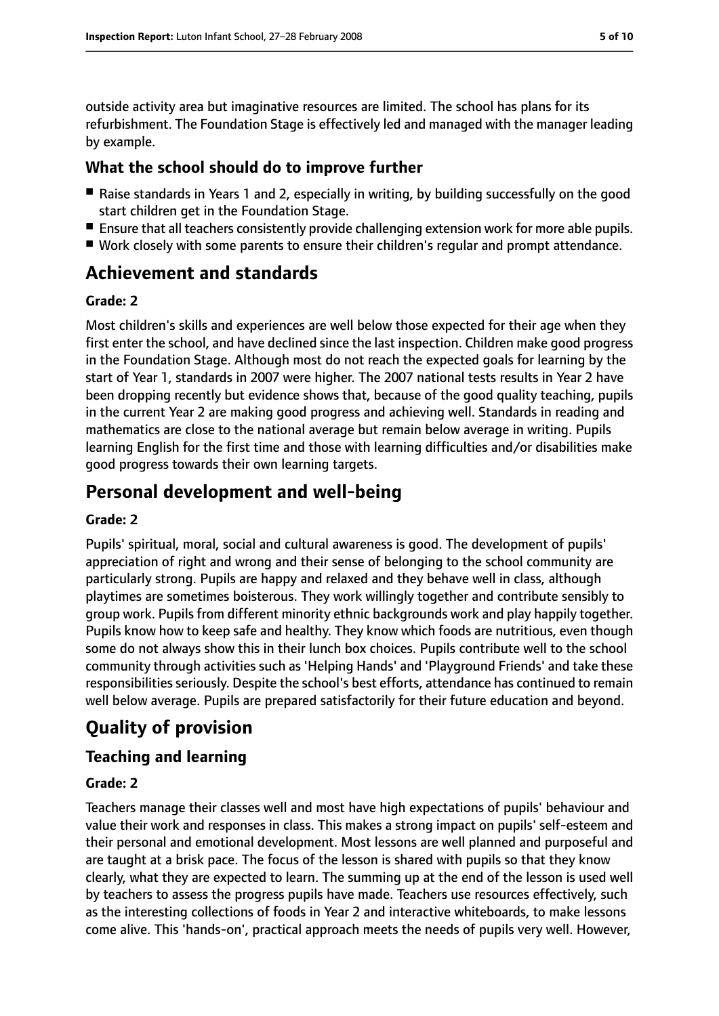outside activity area but imaginative resources are limited. The school has plans for its refurbishment. The Foundation Stage is effectively led and managed with the manager leading by example.

## **What the school should do to improve further**

- Raise standards in Years 1 and 2, especially in writing, by building successfully on the good start children get in the Foundation Stage.
- Ensure that all teachers consistently provide challenging extension work for more able pupils.
- Work closely with some parents to ensure their children's regular and prompt attendance.

## **Achievement and standards**

#### **Grade: 2**

Most children's skills and experiences are well below those expected for their age when they first enter the school, and have declined since the last inspection. Children make good progress in the Foundation Stage. Although most do not reach the expected goals for learning by the start of Year 1, standards in 2007 were higher. The 2007 national tests results in Year 2 have been dropping recently but evidence shows that, because of the good quality teaching, pupils in the current Year 2 are making good progress and achieving well. Standards in reading and mathematics are close to the national average but remain below average in writing. Pupils learning English for the first time and those with learning difficulties and/or disabilities make good progress towards their own learning targets.

## **Personal development and well-being**

#### **Grade: 2**

Pupils' spiritual, moral, social and cultural awareness is good. The development of pupils' appreciation of right and wrong and their sense of belonging to the school community are particularly strong. Pupils are happy and relaxed and they behave well in class, although playtimes are sometimes boisterous. They work willingly together and contribute sensibly to group work. Pupils from different minority ethnic backgrounds work and play happily together. Pupils know how to keep safe and healthy. They know which foods are nutritious, even though some do not always show this in their lunch box choices. Pupils contribute well to the school community through activities such as 'Helping Hands' and 'Playground Friends' and take these responsibilities seriously. Despite the school's best efforts, attendance has continued to remain well below average. Pupils are prepared satisfactorily for their future education and beyond.

## **Quality of provision**

## **Teaching and learning**

#### **Grade: 2**

Teachers manage their classes well and most have high expectations of pupils' behaviour and value their work and responses in class. This makes a strong impact on pupils' self-esteem and their personal and emotional development. Most lessons are well planned and purposeful and are taught at a brisk pace. The focus of the lesson is shared with pupils so that they know clearly, what they are expected to learn. The summing up at the end of the lesson is used well by teachers to assess the progress pupils have made. Teachers use resources effectively, such as the interesting collections of foods in Year 2 and interactive whiteboards, to make lessons come alive. This 'hands-on', practical approach meets the needs of pupils very well. However,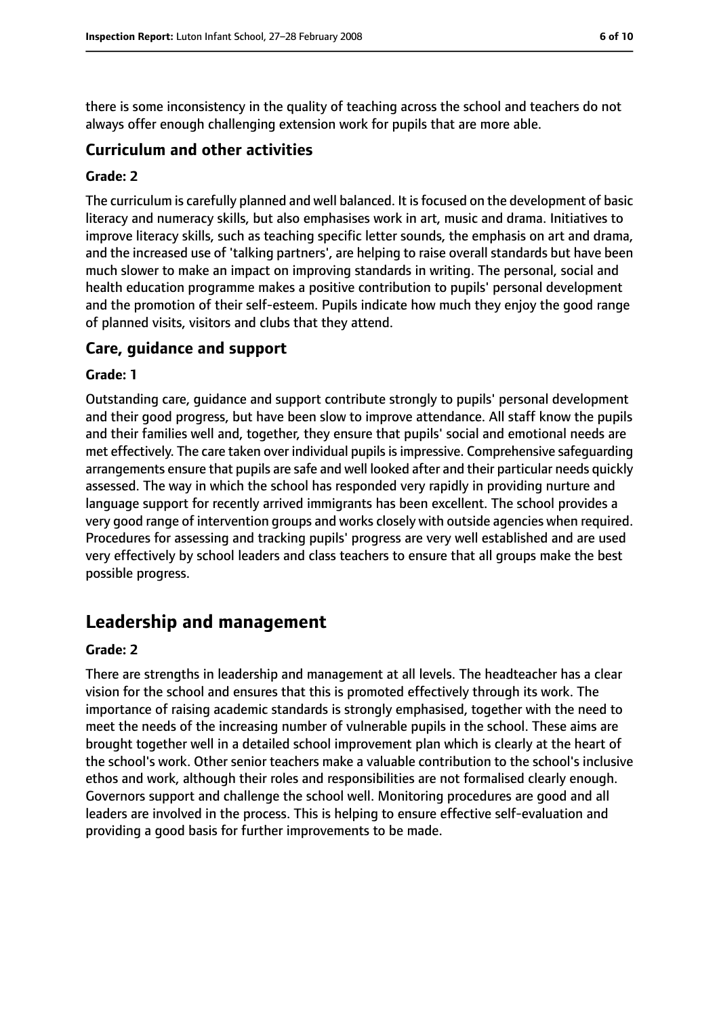there is some inconsistency in the quality of teaching across the school and teachers do not always offer enough challenging extension work for pupils that are more able.

#### **Curriculum and other activities**

#### **Grade: 2**

The curriculum is carefully planned and well balanced. It isfocused on the development of basic literacy and numeracy skills, but also emphasises work in art, music and drama. Initiatives to improve literacy skills, such as teaching specific letter sounds, the emphasis on art and drama, and the increased use of 'talking partners', are helping to raise overall standards but have been much slower to make an impact on improving standards in writing. The personal, social and health education programme makes a positive contribution to pupils' personal development and the promotion of their self-esteem. Pupils indicate how much they enjoy the good range of planned visits, visitors and clubs that they attend.

#### **Care, guidance and support**

#### **Grade: 1**

Outstanding care, guidance and support contribute strongly to pupils' personal development and their good progress, but have been slow to improve attendance. All staff know the pupils and their families well and, together, they ensure that pupils' social and emotional needs are met effectively. The care taken over individual pupils is impressive. Comprehensive safequarding arrangements ensure that pupils are safe and well looked after and their particular needs quickly assessed. The way in which the school has responded very rapidly in providing nurture and language support for recently arrived immigrants has been excellent. The school provides a very good range of intervention groups and works closely with outside agencies when required. Procedures for assessing and tracking pupils' progress are very well established and are used very effectively by school leaders and class teachers to ensure that all groups make the best possible progress.

## **Leadership and management**

#### **Grade: 2**

There are strengths in leadership and management at all levels. The headteacher has a clear vision for the school and ensures that this is promoted effectively through its work. The importance of raising academic standards is strongly emphasised, together with the need to meet the needs of the increasing number of vulnerable pupils in the school. These aims are brought together well in a detailed school improvement plan which is clearly at the heart of the school's work. Other senior teachers make a valuable contribution to the school's inclusive ethos and work, although their roles and responsibilities are not formalised clearly enough. Governors support and challenge the school well. Monitoring procedures are good and all leaders are involved in the process. This is helping to ensure effective self-evaluation and providing a good basis for further improvements to be made.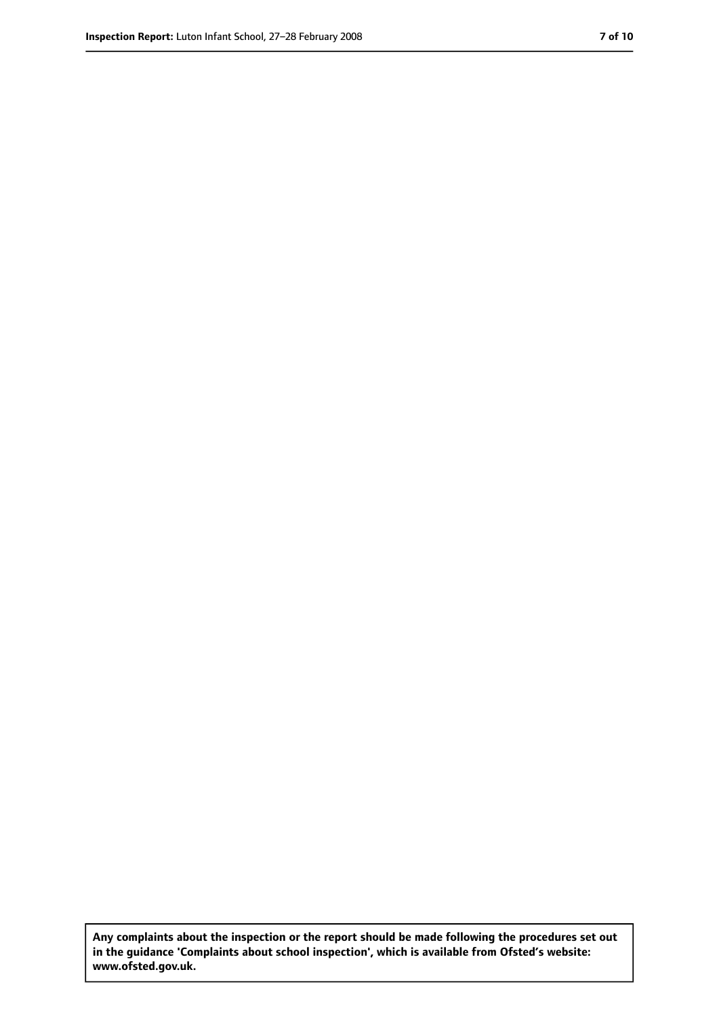**Any complaints about the inspection or the report should be made following the procedures set out in the guidance 'Complaints about school inspection', which is available from Ofsted's website: www.ofsted.gov.uk.**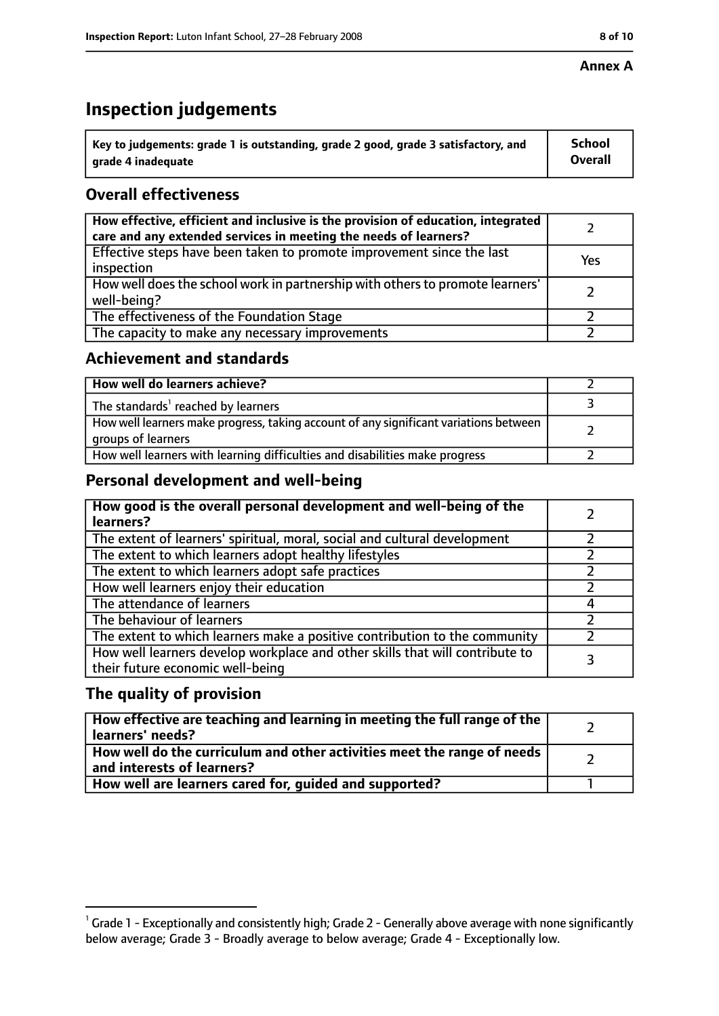#### **Annex A**

# **Inspection judgements**

| $^{\backprime}$ Key to judgements: grade 1 is outstanding, grade 2 good, grade 3 satisfactory, and | <b>School</b>  |
|----------------------------------------------------------------------------------------------------|----------------|
| arade 4 inadeguate                                                                                 | <b>Overall</b> |

## **Overall effectiveness**

| How effective, efficient and inclusive is the provision of education, integrated<br>care and any extended services in meeting the needs of learners? |     |
|------------------------------------------------------------------------------------------------------------------------------------------------------|-----|
| Effective steps have been taken to promote improvement since the last<br>inspection                                                                  | Yes |
| How well does the school work in partnership with others to promote learners'<br>well-being?                                                         |     |
| The effectiveness of the Foundation Stage                                                                                                            |     |
| The capacity to make any necessary improvements                                                                                                      |     |

## **Achievement and standards**

| How well do learners achieve?                                                                               |  |
|-------------------------------------------------------------------------------------------------------------|--|
| The standards <sup>1</sup> reached by learners                                                              |  |
| How well learners make progress, taking account of any significant variations between<br>groups of learners |  |
| How well learners with learning difficulties and disabilities make progress                                 |  |

## **Personal development and well-being**

| How good is the overall personal development and well-being of the<br>learners?                                  |  |
|------------------------------------------------------------------------------------------------------------------|--|
| The extent of learners' spiritual, moral, social and cultural development                                        |  |
| The extent to which learners adopt healthy lifestyles                                                            |  |
| The extent to which learners adopt safe practices                                                                |  |
| How well learners enjoy their education                                                                          |  |
| The attendance of learners                                                                                       |  |
| The behaviour of learners                                                                                        |  |
| The extent to which learners make a positive contribution to the community                                       |  |
| How well learners develop workplace and other skills that will contribute to<br>their future economic well-being |  |

## **The quality of provision**

| How effective are teaching and learning in meeting the full range of the<br>learners' needs?          |  |
|-------------------------------------------------------------------------------------------------------|--|
| How well do the curriculum and other activities meet the range of needs<br>and interests of learners? |  |
| How well are learners cared for, quided and supported?                                                |  |

 $^1$  Grade 1 - Exceptionally and consistently high; Grade 2 - Generally above average with none significantly below average; Grade 3 - Broadly average to below average; Grade 4 - Exceptionally low.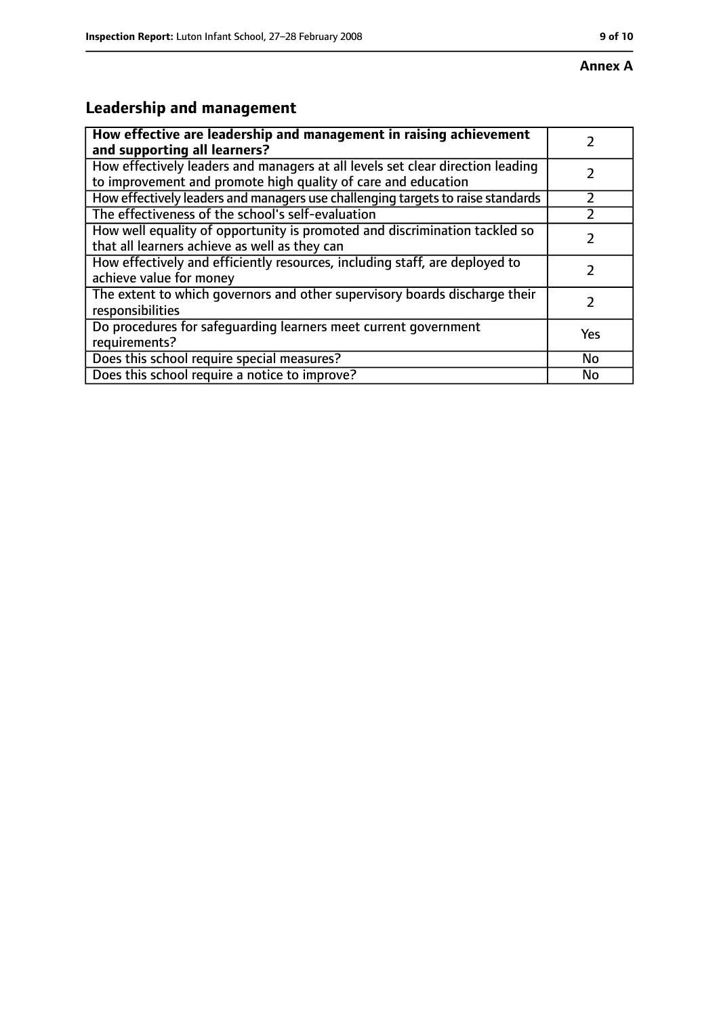## **Annex A**

# **Leadership and management**

| How effective are leadership and management in raising achievement<br>and supporting all learners?                                              |     |
|-------------------------------------------------------------------------------------------------------------------------------------------------|-----|
| How effectively leaders and managers at all levels set clear direction leading<br>to improvement and promote high quality of care and education |     |
| How effectively leaders and managers use challenging targets to raise standards                                                                 |     |
| The effectiveness of the school's self-evaluation                                                                                               |     |
| How well equality of opportunity is promoted and discrimination tackled so<br>that all learners achieve as well as they can                     |     |
| How effectively and efficiently resources, including staff, are deployed to<br>achieve value for money                                          | 7   |
| The extent to which governors and other supervisory boards discharge their<br>responsibilities                                                  | 7   |
| Do procedures for safequarding learners meet current government<br>requirements?                                                                | Yes |
| Does this school require special measures?                                                                                                      | No  |
| Does this school require a notice to improve?                                                                                                   | No  |